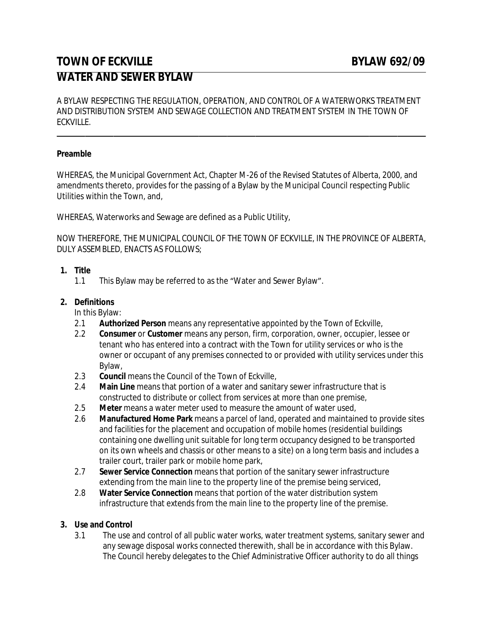# **TOWN OF ECKVILLE EXAMPLE BYLAW 692/09 WATER AND SEWER BYLAW**

A BYLAW RESPECTING THE REGULATION, OPERATION, AND CONTROL OF A WATERWORKS TREATMENT AND DISTRIBUTION SYSTEM AND SEWAGE COLLECTION AND TREATMENT SYSTEM IN THE TOWN OF ECKVILLE.

## **Preamble**

 $\overline{a}$ 

WHEREAS, the Municipal Government Act, Chapter M-26 of the Revised Statutes of Alberta, 2000, and amendments thereto, provides for the passing of a Bylaw by the Municipal Council respecting Public Utilities within the Town, and,

WHEREAS, Waterworks and Sewage are defined as a Public Utility,

NOW THEREFORE, THE MUNICIPAL COUNCIL OF THE TOWN OF ECKVILLE, IN THE PROVINCE OF ALBERTA, DULY ASSEMBLED, ENACTS AS FOLLOWS;

## **1. Title**

1.1 This Bylaw may be referred to as the "Water and Sewer Bylaw".

## **2. Definitions**

In this Bylaw:

- 2.1 **Authorized Person** means any representative appointed by the Town of Eckville,
- 2.2 **Consumer** or **Customer** means any person, firm, corporation, owner, occupier, lessee or tenant who has entered into a contract with the Town for utility services or who is the owner or occupant of any premises connected to or provided with utility services under this Bylaw,
- 2.3 **Council** means the Council of the Town of Eckville,
- 2.4 **Main Line** means that portion of a water and sanitary sewer infrastructure that is constructed to distribute or collect from services at more than one premise,
- 2.5 **Meter** means a water meter used to measure the amount of water used,
- 2.6 **Manufactured Home Park** means a parcel of land, operated and maintained to provide sites and facilities for the placement and occupation of mobile homes (residential buildings containing one dwelling unit suitable for long term occupancy designed to be transported on its own wheels and chassis or other means to a site) on a long term basis and includes a trailer court, trailer park or mobile home park,
- 2.7 **Sewer Service Connection** means that portion of the sanitary sewer infrastructure extending from the main line to the property line of the premise being serviced,
- 2.8 **Water Service Connection** means that portion of the water distribution system infrastructure that extends from the main line to the property line of the premise.

#### **3. Use and Control**

3.1 The use and control of all public water works, water treatment systems, sanitary sewer and any sewage disposal works connected therewith, shall be in accordance with this Bylaw. The Council hereby delegates to the Chief Administrative Officer authority to do all things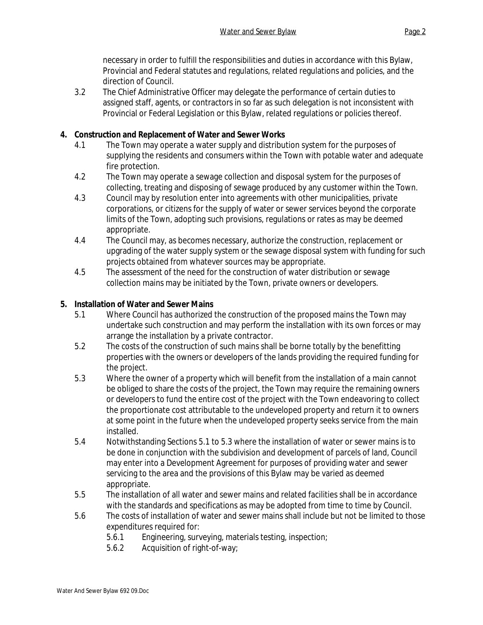necessary in order to fulfill the responsibilities and duties in accordance with this Bylaw, Provincial and Federal statutes and regulations, related regulations and policies, and the direction of Council.

3.2 The Chief Administrative Officer may delegate the performance of certain duties to assigned staff, agents, or contractors in so far as such delegation is not inconsistent with Provincial or Federal Legislation or this Bylaw, related regulations or policies thereof.

# **4. Construction and Replacement of Water and Sewer Works**

- 4.1 The Town may operate a water supply and distribution system for the purposes of supplying the residents and consumers within the Town with potable water and adequate fire protection.
- 4.2 The Town may operate a sewage collection and disposal system for the purposes of collecting, treating and disposing of sewage produced by any customer within the Town.
- 4.3 Council may by resolution enter into agreements with other municipalities, private corporations, or citizens for the supply of water or sewer services beyond the corporate limits of the Town, adopting such provisions, regulations or rates as may be deemed appropriate.
- 4.4 The Council may, as becomes necessary, authorize the construction, replacement or upgrading of the water supply system or the sewage disposal system with funding for such projects obtained from whatever sources may be appropriate.
- 4.5 The assessment of the need for the construction of water distribution or sewage collection mains may be initiated by the Town, private owners or developers.

# **5. Installation of Water and Sewer Mains**

- 5.1 Where Council has authorized the construction of the proposed mains the Town may undertake such construction and may perform the installation with its own forces or may arrange the installation by a private contractor.
- 5.2 The costs of the construction of such mains shall be borne totally by the benefitting properties with the owners or developers of the lands providing the required funding for the project.
- 5.3 Where the owner of a property which will benefit from the installation of a main cannot be obliged to share the costs of the project, the Town may require the remaining owners or developers to fund the entire cost of the project with the Town endeavoring to collect the proportionate cost attributable to the undeveloped property and return it to owners at some point in the future when the undeveloped property seeks service from the main installed.
- 5.4 Notwithstanding Sections 5.1 to 5.3 where the installation of water or sewer mains is to be done in conjunction with the subdivision and development of parcels of land, Council may enter into a Development Agreement for purposes of providing water and sewer servicing to the area and the provisions of this Bylaw may be varied as deemed appropriate.
- 5.5 The installation of all water and sewer mains and related facilities shall be in accordance with the standards and specifications as may be adopted from time to time by Council.
- 5.6 The costs of installation of water and sewer mains shall include but not be limited to those expenditures required for:
	- 5.6.1 Engineering, surveying, materials testing, inspection;
	- 5.6.2 Acquisition of right-of-way;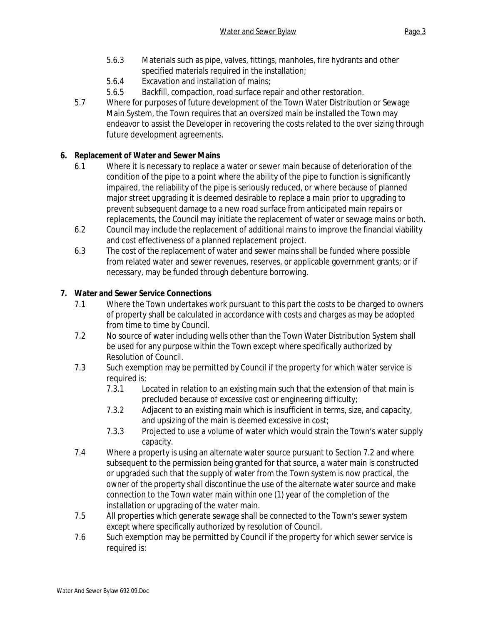- 5.6.3 Materials such as pipe, valves, fittings, manholes, fire hydrants and other specified materials required in the installation;
- 5.6.4 Excavation and installation of mains;
- 5.6.5 Backfill, compaction, road surface repair and other restoration.
- 5.7 Where for purposes of future development of the Town Water Distribution or Sewage Main System, the Town requires that an oversized main be installed the Town may endeavor to assist the Developer in recovering the costs related to the over sizing through future development agreements.

# **6. Replacement of Water and Sewer Mains**

- 6.1 Where it is necessary to replace a water or sewer main because of deterioration of the condition of the pipe to a point where the ability of the pipe to function is significantly impaired, the reliability of the pipe is seriously reduced, or where because of planned major street upgrading it is deemed desirable to replace a main prior to upgrading to prevent subsequent damage to a new road surface from anticipated main repairs or replacements, the Council may initiate the replacement of water or sewage mains or both.
- 6.2 Council may include the replacement of additional mains to improve the financial viability and cost effectiveness of a planned replacement project.
- 6.3 The cost of the replacement of water and sewer mains shall be funded where possible from related water and sewer revenues, reserves, or applicable government grants; or if necessary, may be funded through debenture borrowing.

# **7. Water and Sewer Service Connections**

- 7.1 Where the Town undertakes work pursuant to this part the costs to be charged to owners of property shall be calculated in accordance with costs and charges as may be adopted from time to time by Council.
- 7.2 No source of water including wells other than the Town Water Distribution System shall be used for any purpose within the Town except where specifically authorized by Resolution of Council.
- 7.3 Such exemption may be permitted by Council if the property for which water service is required is:
	- 7.3.1 Located in relation to an existing main such that the extension of that main is precluded because of excessive cost or engineering difficulty;
	- 7.3.2 Adjacent to an existing main which is insufficient in terms, size, and capacity, and upsizing of the main is deemed excessive in cost;
	- 7.3.3 Projected to use a volume of water which would strain the Town's water supply capacity.
- 7.4 Where a property is using an alternate water source pursuant to Section 7.2 and where subsequent to the permission being granted for that source, a water main is constructed or upgraded such that the supply of water from the Town system is now practical, the owner of the property shall discontinue the use of the alternate water source and make connection to the Town water main within one (1) year of the completion of the installation or upgrading of the water main.
- 7.5 All properties which generate sewage shall be connected to the Town's sewer system except where specifically authorized by resolution of Council.
- 7.6 Such exemption may be permitted by Council if the property for which sewer service is required is: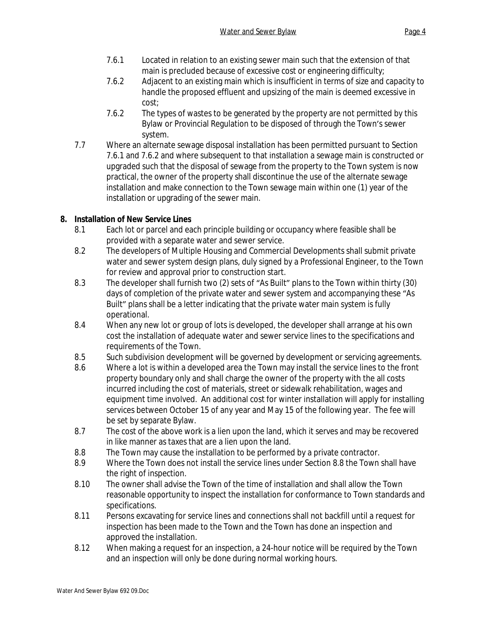- 7.6.1 Located in relation to an existing sewer main such that the extension of that main is precluded because of excessive cost or engineering difficulty;
- 7.6.2 Adjacent to an existing main which is insufficient in terms of size and capacity to handle the proposed effluent and upsizing of the main is deemed excessive in cost;
- 7.6.2 The types of wastes to be generated by the property are not permitted by this Bylaw or Provincial Regulation to be disposed of through the Town's sewer system.
- 7.7 Where an alternate sewage disposal installation has been permitted pursuant to Section 7.6.1 and 7.6.2 and where subsequent to that installation a sewage main is constructed or upgraded such that the disposal of sewage from the property to the Town system is now practical, the owner of the property shall discontinue the use of the alternate sewage installation and make connection to the Town sewage main within one (1) year of the installation or upgrading of the sewer main.

# **8. Installation of New Service Lines**

- 8.1 Each lot or parcel and each principle building or occupancy where feasible shall be provided with a separate water and sewer service.
- 8.2 The developers of Multiple Housing and Commercial Developments shall submit private water and sewer system design plans, duly signed by a Professional Engineer, to the Town for review and approval prior to construction start.
- 8.3 The developer shall furnish two (2) sets of "As Built" plans to the Town within thirty (30) days of completion of the private water and sewer system and accompanying these "As Built" plans shall be a letter indicating that the private water main system is fully operational.
- 8.4 When any new lot or group of lots is developed, the developer shall arrange at his own cost the installation of adequate water and sewer service lines to the specifications and requirements of the Town.
- 8.5 Such subdivision development will be governed by development or servicing agreements.
- 8.6 Where a lot is within a developed area the Town may install the service lines to the front property boundary only and shall charge the owner of the property with the all costs incurred including the cost of materials, street or sidewalk rehabilitation, wages and equipment time involved. An additional cost for winter installation will apply for installing services between October 15 of any year and May 15 of the following year. The fee will be set by separate Bylaw.
- 8.7 The cost of the above work is a lien upon the land, which it serves and may be recovered in like manner as taxes that are a lien upon the land.
- 8.8 The Town may cause the installation to be performed by a private contractor.
- 8.9 Where the Town does not install the service lines under Section 8.8 the Town shall have the right of inspection.
- 8.10 The owner shall advise the Town of the time of installation and shall allow the Town reasonable opportunity to inspect the installation for conformance to Town standards and specifications.
- 8.11 Persons excavating for service lines and connections shall not backfill until a request for inspection has been made to the Town and the Town has done an inspection and approved the installation.
- 8.12 When making a request for an inspection, a 24-hour notice will be required by the Town and an inspection will only be done during normal working hours.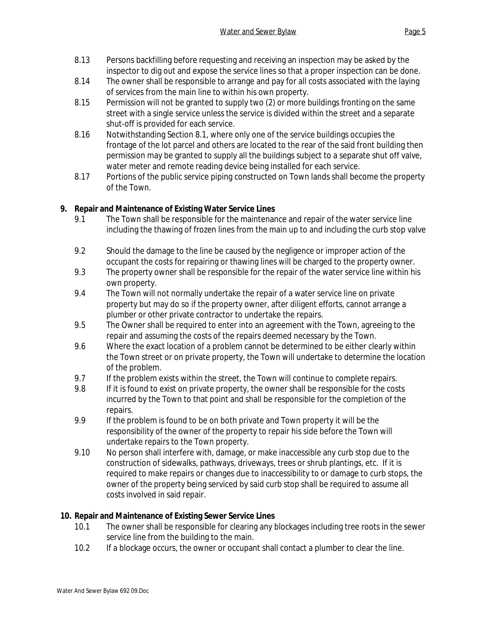- 8.13 Persons backfilling before requesting and receiving an inspection may be asked by the inspector to dig out and expose the service lines so that a proper inspection can be done.
- 8.14 The owner shall be responsible to arrange and pay for all costs associated with the laying of services from the main line to within his own property.
- 8.15 Permission will not be granted to supply two (2) or more buildings fronting on the same street with a single service unless the service is divided within the street and a separate shut-off is provided for each service.
- 8.16 Notwithstanding Section 8.1, where only one of the service buildings occupies the frontage of the lot parcel and others are located to the rear of the said front building then permission may be granted to supply all the buildings subject to a separate shut off valve, water meter and remote reading device being installed for each service.
- 8.17 Portions of the public service piping constructed on Town lands shall become the property of the Town.

# **9. Repair and Maintenance of Existing Water Service Lines**

- 9.1 The Town shall be responsible for the maintenance and repair of the water service line including the thawing of frozen lines from the main up to and including the curb stop valve.
- 9.2 Should the damage to the line be caused by the negligence or improper action of the occupant the costs for repairing or thawing lines will be charged to the property owner.
- 9.3 The property owner shall be responsible for the repair of the water service line within his own property.
- 9.4 The Town will not normally undertake the repair of a water service line on private property but may do so if the property owner, after diligent efforts, cannot arrange a plumber or other private contractor to undertake the repairs.
- 9.5 The Owner shall be required to enter into an agreement with the Town, agreeing to the repair and assuming the costs of the repairs deemed necessary by the Town.
- 9.6 Where the exact location of a problem cannot be determined to be either clearly within the Town street or on private property, the Town will undertake to determine the location of the problem.
- 9.7 If the problem exists within the street, the Town will continue to complete repairs.
- 9.8 If it is found to exist on private property, the owner shall be responsible for the costs incurred by the Town to that point and shall be responsible for the completion of the repairs.
- 9.9 If the problem is found to be on both private and Town property it will be the responsibility of the owner of the property to repair his side before the Town will undertake repairs to the Town property.
- 9.10 No person shall interfere with, damage, or make inaccessible any curb stop due to the construction of sidewalks, pathways, driveways, trees or shrub plantings, etc. If it is required to make repairs or changes due to inaccessibility to or damage to curb stops, the owner of the property being serviced by said curb stop shall be required to assume all costs involved in said repair.

# **10. Repair and Maintenance of Existing Sewer Service Lines**

- 10.1 The owner shall be responsible for clearing any blockages including tree roots in the sewer service line from the building to the main.
- 10.2 If a blockage occurs, the owner or occupant shall contact a plumber to clear the line.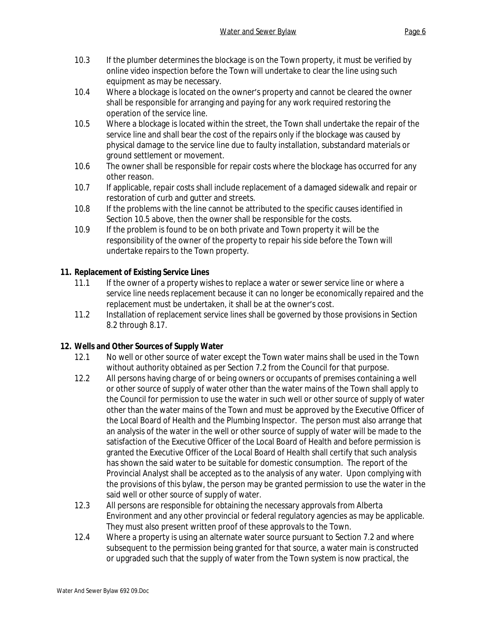- 10.3 If the plumber determines the blockage is on the Town property, it must be verified by online video inspection before the Town will undertake to clear the line using such equipment as may be necessary.
- 10.4 Where a blockage is located on the owner's property and cannot be cleared the owner shall be responsible for arranging and paying for any work required restoring the operation of the service line.
- 10.5 Where a blockage is located within the street, the Town shall undertake the repair of the service line and shall bear the cost of the repairs only if the blockage was caused by physical damage to the service line due to faulty installation, substandard materials or ground settlement or movement.
- 10.6 The owner shall be responsible for repair costs where the blockage has occurred for any other reason.
- 10.7 If applicable, repair costs shall include replacement of a damaged sidewalk and repair or restoration of curb and gutter and streets.
- 10.8 If the problems with the line cannot be attributed to the specific causes identified in Section 10.5 above, then the owner shall be responsible for the costs.
- 10.9 If the problem is found to be on both private and Town property it will be the responsibility of the owner of the property to repair his side before the Town will undertake repairs to the Town property.

# **11. Replacement of Existing Service Lines**

- 11.1 If the owner of a property wishes to replace a water or sewer service line or where a service line needs replacement because it can no longer be economically repaired and the replacement must be undertaken, it shall be at the owner's cost.
- 11.2 Installation of replacement service lines shall be governed by those provisions in Section 8.2 through 8.17.

# **12. Wells and Other Sources of Supply Water**

- 12.1 No well or other source of water except the Town water mains shall be used in the Town without authority obtained as per Section 7.2 from the Council for that purpose.
- 12.2 All persons having charge of or being owners or occupants of premises containing a well or other source of supply of water other than the water mains of the Town shall apply to the Council for permission to use the water in such well or other source of supply of water other than the water mains of the Town and must be approved by the Executive Officer of the Local Board of Health and the Plumbing Inspector. The person must also arrange that an analysis of the water in the well or other source of supply of water will be made to the satisfaction of the Executive Officer of the Local Board of Health and before permission is granted the Executive Officer of the Local Board of Health shall certify that such analysis has shown the said water to be suitable for domestic consumption. The report of the Provincial Analyst shall be accepted as to the analysis of any water. Upon complying with the provisions of this bylaw, the person may be granted permission to use the water in the said well or other source of supply of water.
- 12.3 All persons are responsible for obtaining the necessary approvals from Alberta Environment and any other provincial or federal regulatory agencies as may be applicable. They must also present written proof of these approvals to the Town.
- 12.4 Where a property is using an alternate water source pursuant to Section 7.2 and where subsequent to the permission being granted for that source, a water main is constructed or upgraded such that the supply of water from the Town system is now practical, the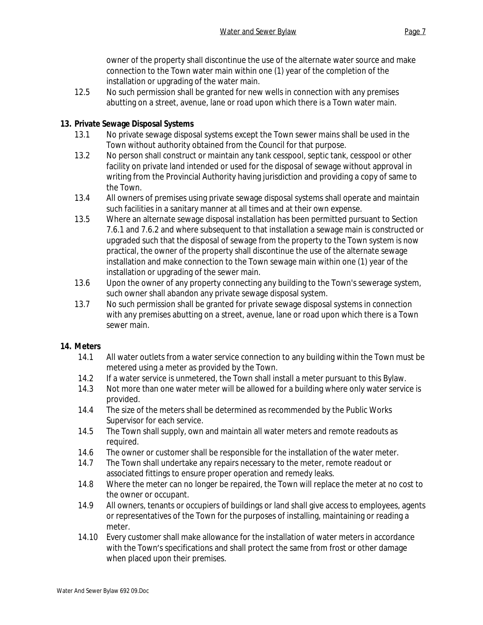owner of the property shall discontinue the use of the alternate water source and make connection to the Town water main within one (1) year of the completion of the installation or upgrading of the water main.

12.5 No such permission shall be granted for new wells in connection with any premises abutting on a street, avenue, lane or road upon which there is a Town water main.

# **13. Private Sewage Disposal Systems**

- 13.1 No private sewage disposal systems except the Town sewer mains shall be used in the Town without authority obtained from the Council for that purpose.
- 13.2 No person shall construct or maintain any tank cesspool, septic tank, cesspool or other facility on private land intended or used for the disposal of sewage without approval in writing from the Provincial Authority having jurisdiction and providing a copy of same to the Town.
- 13.4 All owners of premises using private sewage disposal systems shall operate and maintain such facilities in a sanitary manner at all times and at their own expense.
- 13.5 Where an alternate sewage disposal installation has been permitted pursuant to Section 7.6.1 and 7.6.2 and where subsequent to that installation a sewage main is constructed or upgraded such that the disposal of sewage from the property to the Town system is now practical, the owner of the property shall discontinue the use of the alternate sewage installation and make connection to the Town sewage main within one (1) year of the installation or upgrading of the sewer main.
- 13.6 Upon the owner of any property connecting any building to the Town's sewerage system, such owner shall abandon any private sewage disposal system.
- 13.7 No such permission shall be granted for private sewage disposal systems in connection with any premises abutting on a street, avenue, lane or road upon which there is a Town sewer main.

#### **14. Meters**

- 14.1 All water outlets from a water service connection to any building within the Town must be metered using a meter as provided by the Town.
- 14.2 If a water service is unmetered, the Town shall install a meter pursuant to this Bylaw.
- 14.3 Not more than one water meter will be allowed for a building where only water service is provided.
- 14.4 The size of the meters shall be determined as recommended by the Public Works Supervisor for each service.
- 14.5 The Town shall supply, own and maintain all water meters and remote readouts as required.
- 14.6 The owner or customer shall be responsible for the installation of the water meter.
- 14.7 The Town shall undertake any repairs necessary to the meter, remote readout or associated fittings to ensure proper operation and remedy leaks.
- 14.8 Where the meter can no longer be repaired, the Town will replace the meter at no cost to the owner or occupant.
- 14.9 All owners, tenants or occupiers of buildings or land shall give access to employees, agents or representatives of the Town for the purposes of installing, maintaining or reading a meter.
- 14.10 Every customer shall make allowance for the installation of water meters in accordance with the Town's specifications and shall protect the same from frost or other damage when placed upon their premises.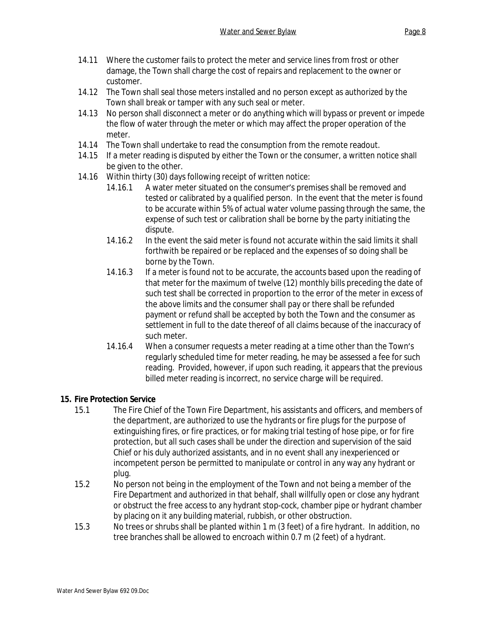- 14.11 Where the customer fails to protect the meter and service lines from frost or other damage, the Town shall charge the cost of repairs and replacement to the owner or customer.
- 14.12 The Town shall seal those meters installed and no person except as authorized by the Town shall break or tamper with any such seal or meter.
- 14.13 No person shall disconnect a meter or do anything which will bypass or prevent or impede the flow of water through the meter or which may affect the proper operation of the meter.
- 14.14 The Town shall undertake to read the consumption from the remote readout.
- 14.15 If a meter reading is disputed by either the Town or the consumer, a written notice shall be given to the other.
- 14.16 Within thirty (30) days following receipt of written notice:
	- 14.16.1 A water meter situated on the consumer's premises shall be removed and tested or calibrated by a qualified person. In the event that the meter is found to be accurate within 5% of actual water volume passing through the same, the expense of such test or calibration shall be borne by the party initiating the dispute.
	- 14.16.2 In the event the said meter is found not accurate within the said limits it shall forthwith be repaired or be replaced and the expenses of so doing shall be borne by the Town.
	- 14.16.3 If a meter is found not to be accurate, the accounts based upon the reading of that meter for the maximum of twelve (12) monthly bills preceding the date of such test shall be corrected in proportion to the error of the meter in excess of the above limits and the consumer shall pay or there shall be refunded payment or refund shall be accepted by both the Town and the consumer as settlement in full to the date thereof of all claims because of the inaccuracy of such meter.
	- 14.16.4 When a consumer requests a meter reading at a time other than the Town's regularly scheduled time for meter reading, he may be assessed a fee for such reading. Provided, however, if upon such reading, it appears that the previous billed meter reading is incorrect, no service charge will be required.

# **15. Fire Protection Service**

- 15.1 The Fire Chief of the Town Fire Department, his assistants and officers, and members of the department, are authorized to use the hydrants or fire plugs for the purpose of extinguishing fires, or fire practices, or for making trial testing of hose pipe, or for fire protection, but all such cases shall be under the direction and supervision of the said Chief or his duly authorized assistants, and in no event shall any inexperienced or incompetent person be permitted to manipulate or control in any way any hydrant or plug.
- 15.2 No person not being in the employment of the Town and not being a member of the Fire Department and authorized in that behalf, shall willfully open or close any hydrant or obstruct the free access to any hydrant stop-cock, chamber pipe or hydrant chamber by placing on it any building material, rubbish, or other obstruction.
- 15.3 No trees or shrubs shall be planted within 1 m (3 feet) of a fire hydrant. In addition, no tree branches shall be allowed to encroach within 0.7 m (2 feet) of a hydrant.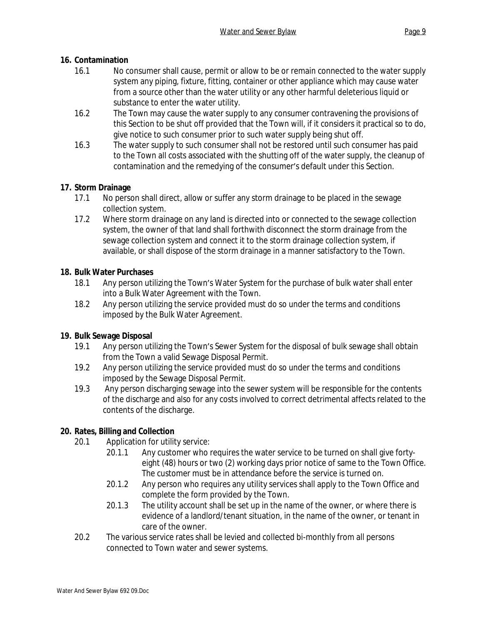# **16. Contamination**

- 16.1 No consumer shall cause, permit or allow to be or remain connected to the water supply system any piping, fixture, fitting, container or other appliance which may cause water from a source other than the water utility or any other harmful deleterious liquid or substance to enter the water utility.
- 16.2 The Town may cause the water supply to any consumer contravening the provisions of this Section to be shut off provided that the Town will, if it considers it practical so to do, give notice to such consumer prior to such water supply being shut off.
- 16.3 The water supply to such consumer shall not be restored until such consumer has paid to the Town all costs associated with the shutting off of the water supply, the cleanup of contamination and the remedying of the consumer's default under this Section.

# **17. Storm Drainage**

- 17.1 No person shall direct, allow or suffer any storm drainage to be placed in the sewage collection system.
- 17.2 Where storm drainage on any land is directed into or connected to the sewage collection system, the owner of that land shall forthwith disconnect the storm drainage from the sewage collection system and connect it to the storm drainage collection system, if available, or shall dispose of the storm drainage in a manner satisfactory to the Town.

# **18. Bulk Water Purchases**

- 18.1 Any person utilizing the Town's Water System for the purchase of bulk water shall enter into a Bulk Water Agreement with the Town.
- 18.2 Any person utilizing the service provided must do so under the terms and conditions imposed by the Bulk Water Agreement.

# **19. Bulk Sewage Disposal**

- 19.1 Any person utilizing the Town's Sewer System for the disposal of bulk sewage shall obtain from the Town a valid Sewage Disposal Permit.
- 19.2 Any person utilizing the service provided must do so under the terms and conditions imposed by the Sewage Disposal Permit.
- 19.3 Any person discharging sewage into the sewer system will be responsible for the contents of the discharge and also for any costs involved to correct detrimental affects related to the contents of the discharge.

# **20. Rates, Billing and Collection**

- 20.1 Application for utility service:
	- 20.1.1 Any customer who requires the water service to be turned on shall give fortyeight (48) hours or two (2) working days prior notice of same to the Town Office. The customer must be in attendance before the service is turned on.
	- 20.1.2 Any person who requires any utility services shall apply to the Town Office and complete the form provided by the Town.
	- 20.1.3 The utility account shall be set up in the name of the owner, or where there is evidence of a landlord/tenant situation, in the name of the owner, or tenant in care of the owner.
- 20.2 The various service rates shall be levied and collected bi-monthly from all persons connected to Town water and sewer systems.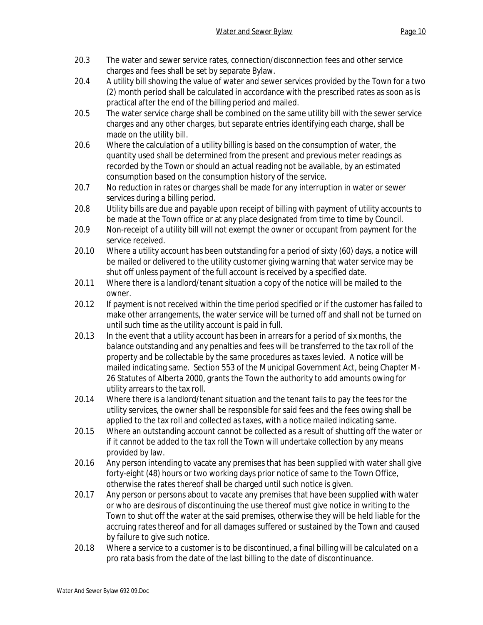- 20.3 The water and sewer service rates, connection/disconnection fees and other service charges and fees shall be set by separate Bylaw.
- 20.4 A utility bill showing the value of water and sewer services provided by the Town for a two (2) month period shall be calculated in accordance with the prescribed rates as soon as is practical after the end of the billing period and mailed.
- 20.5 The water service charge shall be combined on the same utility bill with the sewer service charges and any other charges, but separate entries identifying each charge, shall be made on the utility bill.
- 20.6 Where the calculation of a utility billing is based on the consumption of water, the quantity used shall be determined from the present and previous meter readings as recorded by the Town or should an actual reading not be available, by an estimated consumption based on the consumption history of the service.
- 20.7 No reduction in rates or charges shall be made for any interruption in water or sewer services during a billing period.
- 20.8 Utility bills are due and payable upon receipt of billing with payment of utility accounts to be made at the Town office or at any place designated from time to time by Council.
- 20.9 Non-receipt of a utility bill will not exempt the owner or occupant from payment for the service received.
- 20.10 Where a utility account has been outstanding for a period of sixty (60) days, a notice will be mailed or delivered to the utility customer giving warning that water service may be shut off unless payment of the full account is received by a specified date.
- 20.11 Where there is a landlord/tenant situation a copy of the notice will be mailed to the owner.
- 20.12 If payment is not received within the time period specified or if the customer has failed to make other arrangements, the water service will be turned off and shall not be turned on until such time as the utility account is paid in full.
- 20.13 In the event that a utility account has been in arrears for a period of six months, the balance outstanding and any penalties and fees will be transferred to the tax roll of the property and be collectable by the same procedures as taxes levied. A notice will be mailed indicating same. Section 553 of the Municipal Government Act, being Chapter M-26 Statutes of Alberta 2000, grants the Town the authority to add amounts owing for utility arrears to the tax roll.
- 20.14 Where there is a landlord/tenant situation and the tenant fails to pay the fees for the utility services, the owner shall be responsible for said fees and the fees owing shall be applied to the tax roll and collected as taxes, with a notice mailed indicating same.
- 20.15 Where an outstanding account cannot be collected as a result of shutting off the water or if it cannot be added to the tax roll the Town will undertake collection by any means provided by law.
- 20.16 Any person intending to vacate any premises that has been supplied with water shall give forty-eight (48) hours or two working days prior notice of same to the Town Office, otherwise the rates thereof shall be charged until such notice is given.
- 20.17 Any person or persons about to vacate any premises that have been supplied with water or who are desirous of discontinuing the use thereof must give notice in writing to the Town to shut off the water at the said premises, otherwise they will be held liable for the accruing rates thereof and for all damages suffered or sustained by the Town and caused by failure to give such notice.
- 20.18 Where a service to a customer is to be discontinued, a final billing will be calculated on a pro rata basis from the date of the last billing to the date of discontinuance.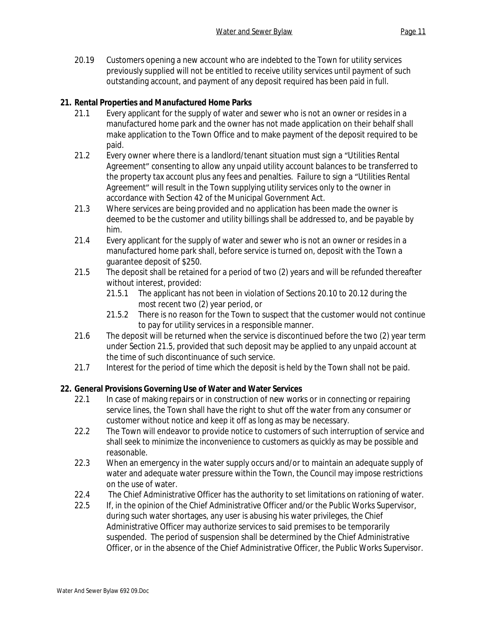20.19 Customers opening a new account who are indebted to the Town for utility services previously supplied will not be entitled to receive utility services until payment of such outstanding account, and payment of any deposit required has been paid in full.

## **21. Rental Properties and Manufactured Home Parks**

- 21.1 Every applicant for the supply of water and sewer who is not an owner or resides in a manufactured home park and the owner has not made application on their behalf shall make application to the Town Office and to make payment of the deposit required to be paid.
- 21.2 Every owner where there is a landlord/tenant situation must sign a "Utilities Rental Agreement" consenting to allow any unpaid utility account balances to be transferred to the property tax account plus any fees and penalties. Failure to sign a "Utilities Rental Agreement" will result in the Town supplying utility services only to the owner in accordance with Section 42 of the Municipal Government Act.
- 21.3 Where services are being provided and no application has been made the owner is deemed to be the customer and utility billings shall be addressed to, and be payable by him.
- 21.4 Every applicant for the supply of water and sewer who is not an owner or resides in a manufactured home park shall, before service is turned on, deposit with the Town a guarantee deposit of \$250.
- 21.5 The deposit shall be retained for a period of two (2) years and will be refunded thereafter without interest, provided:
	- 21.5.1 The applicant has not been in violation of Sections 20.10 to 20.12 during the most recent two (2) year period, or
	- 21.5.2 There is no reason for the Town to suspect that the customer would not continue to pay for utility services in a responsible manner.
- 21.6 The deposit will be returned when the service is discontinued before the two (2) year term under Section 21.5, provided that such deposit may be applied to any unpaid account at the time of such discontinuance of such service.
- 21.7 Interest for the period of time which the deposit is held by the Town shall not be paid.

# **22. General Provisions Governing Use of Water and Water Services**

- 22.1 In case of making repairs or in construction of new works or in connecting or repairing service lines, the Town shall have the right to shut off the water from any consumer or customer without notice and keep it off as long as may be necessary.
- 22.2 The Town will endeavor to provide notice to customers of such interruption of service and shall seek to minimize the inconvenience to customers as quickly as may be possible and reasonable.
- 22.3 When an emergency in the water supply occurs and/or to maintain an adequate supply of water and adequate water pressure within the Town, the Council may impose restrictions on the use of water.
- 22.4 The Chief Administrative Officer has the authority to set limitations on rationing of water.
- 22.5 If, in the opinion of the Chief Administrative Officer and/or the Public Works Supervisor, during such water shortages, any user is abusing his water privileges, the Chief Administrative Officer may authorize services to said premises to be temporarily suspended. The period of suspension shall be determined by the Chief Administrative Officer, or in the absence of the Chief Administrative Officer, the Public Works Supervisor.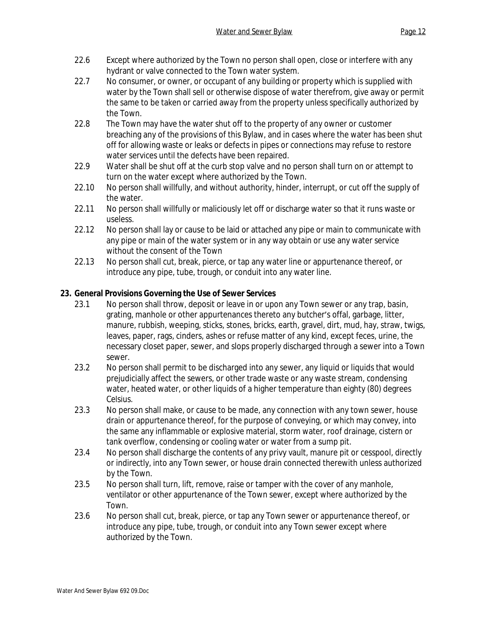- 22.6 Except where authorized by the Town no person shall open, close or interfere with any hydrant or valve connected to the Town water system.
- 22.7 No consumer, or owner, or occupant of any building or property which is supplied with water by the Town shall sell or otherwise dispose of water therefrom, give away or permit the same to be taken or carried away from the property unless specifically authorized by the Town.
- 22.8 The Town may have the water shut off to the property of any owner or customer breaching any of the provisions of this Bylaw, and in cases where the water has been shut off for allowing waste or leaks or defects in pipes or connections may refuse to restore water services until the defects have been repaired.
- 22.9 Water shall be shut off at the curb stop valve and no person shall turn on or attempt to turn on the water except where authorized by the Town.
- 22.10 No person shall willfully, and without authority, hinder, interrupt, or cut off the supply of the water.
- 22.11 No person shall willfully or maliciously let off or discharge water so that it runs waste or useless.
- 22.12 No person shall lay or cause to be laid or attached any pipe or main to communicate with any pipe or main of the water system or in any way obtain or use any water service without the consent of the Town
- 22.13 No person shall cut, break, pierce, or tap any water line or appurtenance thereof, or introduce any pipe, tube, trough, or conduit into any water line.

# **23. General Provisions Governing the Use of Sewer Services**

- 23.1 No person shall throw, deposit or leave in or upon any Town sewer or any trap, basin, grating, manhole or other appurtenances thereto any butcher's offal, garbage, litter, manure, rubbish, weeping, sticks, stones, bricks, earth, gravel, dirt, mud, hay, straw, twigs, leaves, paper, rags, cinders, ashes or refuse matter of any kind, except feces, urine, the necessary closet paper, sewer, and slops properly discharged through a sewer into a Town sewer.
- 23.2 No person shall permit to be discharged into any sewer, any liquid or liquids that would prejudicially affect the sewers, or other trade waste or any waste stream, condensing water, heated water, or other liquids of a higher temperature than eighty (80) degrees Celsius.
- 23.3 No person shall make, or cause to be made, any connection with any town sewer, house drain or appurtenance thereof, for the purpose of conveying, or which may convey, into the same any inflammable or explosive material, storm water, roof drainage, cistern or tank overflow, condensing or cooling water or water from a sump pit.
- 23.4 No person shall discharge the contents of any privy vault, manure pit or cesspool, directly or indirectly, into any Town sewer, or house drain connected therewith unless authorized by the Town.
- 23.5 No person shall turn, lift, remove, raise or tamper with the cover of any manhole, ventilator or other appurtenance of the Town sewer, except where authorized by the Town.
- 23.6 No person shall cut, break, pierce, or tap any Town sewer or appurtenance thereof, or introduce any pipe, tube, trough, or conduit into any Town sewer except where authorized by the Town.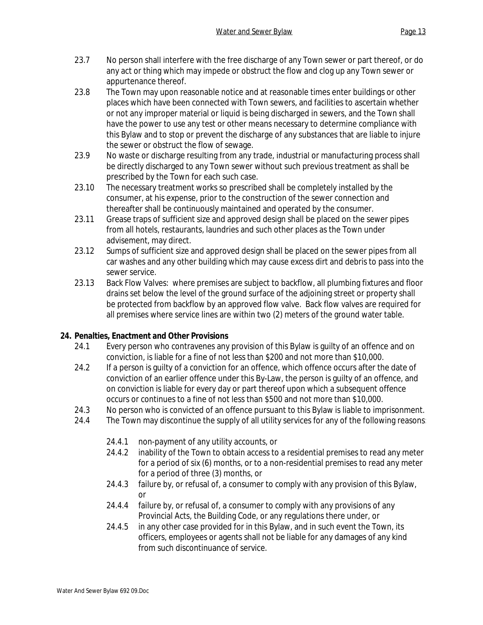- 23.7 No person shall interfere with the free discharge of any Town sewer or part thereof, or do any act or thing which may impede or obstruct the flow and clog up any Town sewer or appurtenance thereof.
- 23.8 The Town may upon reasonable notice and at reasonable times enter buildings or other places which have been connected with Town sewers, and facilities to ascertain whether or not any improper material or liquid is being discharged in sewers, and the Town shall have the power to use any test or other means necessary to determine compliance with this Bylaw and to stop or prevent the discharge of any substances that are liable to injure the sewer or obstruct the flow of sewage.
- 23.9 No waste or discharge resulting from any trade, industrial or manufacturing process shall be directly discharged to any Town sewer without such previous treatment as shall be prescribed by the Town for each such case.
- 23.10 The necessary treatment works so prescribed shall be completely installed by the consumer, at his expense, prior to the construction of the sewer connection and thereafter shall be continuously maintained and operated by the consumer.
- 23.11 Grease traps of sufficient size and approved design shall be placed on the sewer pipes from all hotels, restaurants, laundries and such other places as the Town under advisement, may direct.
- 23.12 Sumps of sufficient size and approved design shall be placed on the sewer pipes from all car washes and any other building which may cause excess dirt and debris to pass into the sewer service.
- 23.13 Back Flow Valves: where premises are subject to backflow, all plumbing fixtures and floor drains set below the level of the ground surface of the adjoining street or property shall be protected from backflow by an approved flow valve. Back flow valves are required for all premises where service lines are within two (2) meters of the ground water table.

# **24. Penalties, Enactment and Other Provisions**

- 24.1 Every person who contravenes any provision of this Bylaw is guilty of an offence and on conviction, is liable for a fine of not less than \$200 and not more than \$10,000.
- 24.2 If a person is guilty of a conviction for an offence, which offence occurs after the date of conviction of an earlier offence under this By-Law, the person is guilty of an offence, and on conviction is liable for every day or part thereof upon which a subsequent offence occurs or continues to a fine of not less than \$500 and not more than \$10,000.
- 24.3 No person who is convicted of an offence pursuant to this Bylaw is liable to imprisonment.
- 24.4 The Town may discontinue the supply of all utility services for any of the following reasons:
	- 24.4.1 non-payment of any utility accounts, or
	- 24.4.2 inability of the Town to obtain access to a residential premises to read any meter for a period of six (6) months, or to a non-residential premises to read any meter for a period of three (3) months, or
	- 24.4.3 failure by, or refusal of, a consumer to comply with any provision of this Bylaw, or
	- 24.4.4 failure by, or refusal of, a consumer to comply with any provisions of any Provincial Acts, the Building Code, or any regulations there under, or
	- 24.4.5 in any other case provided for in this Bylaw, and in such event the Town, its officers, employees or agents shall not be liable for any damages of any kind from such discontinuance of service.